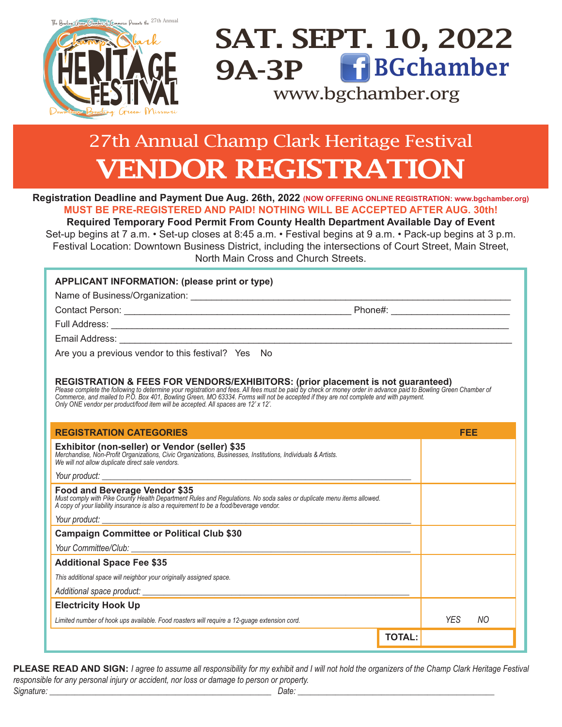

## SAT. SEPT. 10, 2022 9A-3P www.bgchamber.org BGchamber

## $\sim$   $\sim$   $\sim$ 27th Annual Champ Clark Heritage Festival VENDOR REGISTRATION

**Registration Deadline and Payment Due Aug. 26th, 2022 (NOW OFFERING ONLINE REGISTRATION: www.bgchamber.org) MUST BE PRE-REGISTERED AND PAID! NOTHING WILL BE ACCEPTED AFTER AUG. 30th!**

**Required Temporary Food Permit From County Health Department Available Day of Event** Set-up begins at 7 a.m. • Set-up closes at 8:45 a.m. • Festival begins at 9 a.m. • Pack-up begins at 3 p.m. Festival Location: Downtown Business District, including the intersections of Court Street, Main Street, North Main Cross and Church Streets.

### **APPLICANT INFORMATION: (please print or type)**

Name of Business/Organization: \_\_\_\_\_\_\_\_\_\_\_\_\_\_\_\_\_\_\_\_\_\_\_\_\_\_\_\_\_\_\_\_\_\_\_\_\_\_\_\_\_\_\_\_\_\_\_\_\_\_\_\_\_\_\_\_\_\_\_\_\_\_

Contact Person: \_\_\_\_\_\_\_\_\_\_\_\_\_\_\_\_\_\_\_\_\_\_\_\_\_\_\_\_\_\_\_\_\_\_\_\_\_\_\_\_\_\_\_\_ Phone#: \_\_\_\_\_\_\_\_\_\_\_\_\_\_\_\_\_\_\_\_\_\_\_

Full Address: \_\_\_\_\_\_\_\_\_\_\_\_\_\_\_\_\_\_\_\_\_\_\_\_\_\_\_\_\_\_\_\_\_\_\_\_\_\_\_\_\_\_\_\_\_\_\_\_\_\_\_\_\_\_\_\_\_\_\_\_\_\_\_\_\_\_\_\_\_\_\_\_\_\_\_\_\_

Email Address:

Are you a previous vendor to this festival? Yes No

REGISTRATION & FEES FOR VENDORS/EXHIBITORS: (prior placement is not guaranteed)<br>Please complete the following to determine your registration and fees. All fees must be paid by check or money order in advance paid to Bowlin *Commerce, and mailed to P.O. Box 401, Bowling Green, MO 63334. Forms will not be accepted if they are not complete and with payment. Only ONE vendor per product/food item will be accepted. All spaces are 12' x 12'.*

| <b>REGISTRATION CATEGORIES</b>                                                                                                                                                                                                                  | FEE         |
|-------------------------------------------------------------------------------------------------------------------------------------------------------------------------------------------------------------------------------------------------|-------------|
| Exhibitor (non-seller) or Vendor (seller) \$35<br>Merchandise, Non-Profit Organizations, Civic Organizations, Businesses, Institutions, Individuals & Artists.<br>We will not allow duplicate direct sale vendors.                              |             |
|                                                                                                                                                                                                                                                 |             |
| Food and Beverage Vendor \$35<br>Must comply with Pike County Health Department Rules and Regulations. No soda sales or duplicate menu items allowed.<br>A copy of your liability insurance is also a requirement to be a food/beverage vendor. |             |
|                                                                                                                                                                                                                                                 |             |
| <b>Campaign Committee or Political Club \$30</b>                                                                                                                                                                                                |             |
|                                                                                                                                                                                                                                                 |             |
| <b>Additional Space Fee \$35</b>                                                                                                                                                                                                                |             |
| This additional space will neighbor your originally assigned space.                                                                                                                                                                             |             |
|                                                                                                                                                                                                                                                 |             |
| <b>Electricity Hook Up</b>                                                                                                                                                                                                                      |             |
| Limited number of hook ups available. Food roasters will require a 12-guage extension cord.                                                                                                                                                     | YES.<br>NO. |
| <b>TOTAL:</b>                                                                                                                                                                                                                                   |             |

**PLEASE READ AND SIGN:** *I agree to assume all responsibility for my exhibit and I will not hold the organizers of the Champ Clark Heritage Festival responsible for any personal injury or accident, nor loss or damage to person or property.*  $S$ ignature:  $\Box$